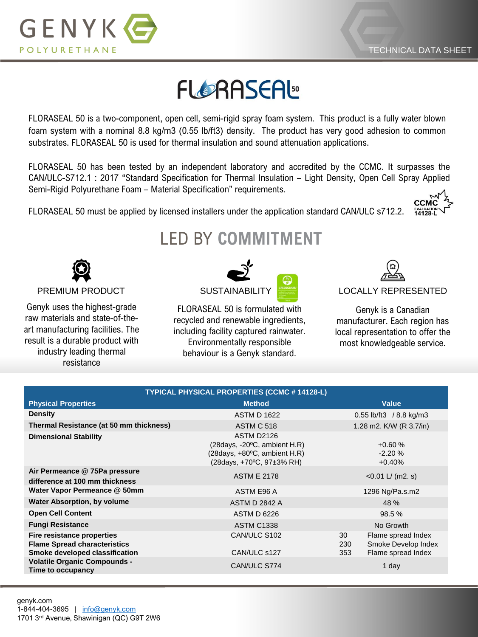

## **FLORASEAL**

FLORASEAL 50 is a two-component, open cell, semi-rigid spray foam system. This product is a fully water blown foam system with a nominal 8.8 kg/m3 (0.55 lb/ft3) density. The product has very good adhesion to common substrates. FLORASEAL 50 is used for thermal insulation and sound attenuation applications.

FLORASEAL 50 has been tested by an independent laboratory and accredited by the CCMC. It surpasses the CAN/ULC-S712.1 : 2017 "Standard Specification for Thermal Insulation – Light Density, Open Cell Spray Applied Semi-Rigid Polyurethane Foam – Material Specification" requirements.

FLORASEAL 50 must be applied by licensed installers under the application standard CAN/ULC s712.2.

## LED BY **COMMITMENT**



Genyk uses the highest-grade raw materials and state-of-theart manufacturing facilities. The result is a durable product with industry leading thermal resistance



FLORASEAL 50 is formulated with recycled and renewable ingredients, including facility captured rainwater. Environmentally responsible behaviour is a Genyk standard.



Genyk is a Canadian manufacturer. Each region has local representation to offer the most knowledgeable service.

| TYPICAL PHYSICAL PROPERTIES (CCMC # 14128-L)                                                        |                                                                                                                          |                                  |                                                                 |  |
|-----------------------------------------------------------------------------------------------------|--------------------------------------------------------------------------------------------------------------------------|----------------------------------|-----------------------------------------------------------------|--|
| <b>Physical Properties</b>                                                                          | <b>Method</b>                                                                                                            | <b>Value</b>                     |                                                                 |  |
| <b>Density</b>                                                                                      | <b>ASTM D 1622</b>                                                                                                       | 0.55 lb/ft3 / 8.8 kg/m3          |                                                                 |  |
| Thermal Resistance (at 50 mm thickness)                                                             | <b>ASTM C 518</b>                                                                                                        | 1.28 m2. K/W (R 3.7/in)          |                                                                 |  |
| <b>Dimensional Stability</b>                                                                        | ASTM D2126<br>$(28 \text{days}, -20\text{°C},$ ambient H.R)<br>(28days, +80°C, ambient H.R)<br>(28days, +70°C, 97±3% RH) | $+0.60%$<br>$-2.20%$<br>$+0.40%$ |                                                                 |  |
| Air Permeance @ 75Pa pressure<br>difference at 100 mm thickness                                     | <b>ASTM E 2178</b>                                                                                                       | $<$ 0.01 L/ (m2. s)              |                                                                 |  |
| Water Vapor Permeance @ 50mm                                                                        | ASTM E96 A                                                                                                               | 1296 Ng/Pa.s.m2                  |                                                                 |  |
| <b>Water Absorption, by volume</b>                                                                  | ASTM D 2842 A                                                                                                            | 48 %                             |                                                                 |  |
| <b>Open Cell Content</b>                                                                            | <b>ASTM D 6226</b>                                                                                                       | 98.5 %                           |                                                                 |  |
| <b>Fungi Resistance</b>                                                                             | <b>ASTM C1338</b>                                                                                                        | No Growth                        |                                                                 |  |
| Fire resistance properties<br><b>Flame Spread characteristics</b><br>Smoke developed classification | CAN/ULC S102<br>CAN/ULC s127                                                                                             | 30<br>230<br>353                 | Flame spread Index<br>Smoke Develop Index<br>Flame spread Index |  |
| <b>Volatile Organic Compounds -</b><br>Time to occupancy                                            | CAN/ULC S774                                                                                                             | 1 day                            |                                                                 |  |